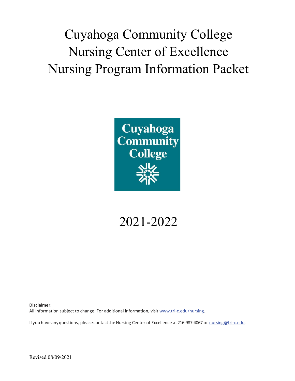Cuyahoga Community College Nursing Center of Excellence Nursing Program Information Packet



# 2021-2022

**Disclaimer**: All information subject to change. For additional information, visit [www.tri-c.edu/nursing.](http://www.tri-c.edu/programs/nursing)

If you have any questions, please contactthe Nursing Center of Excellence at 216-987-4067 or [nursing@tri-c.edu.](mailto:nursing@tri-c.edu)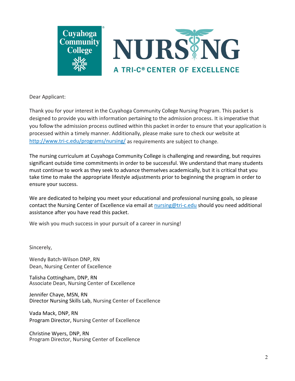



Dear Applicant:

Thank you for your interest in the Cuyahoga Community College Nursing Program. This packet is designed to provide you with information pertaining to the admission process. It is imperative that you follow the admission process outlined within this packet in order to ensure that your application is processed within a timely manner. Additionally, please make sure to check our website at <http://www.tri-c.edu/programs/nursing/> as requirements are subject to change.

The nursing curriculum at Cuyahoga Community College is challenging and rewarding, but requires significant outside time commitments in order to be successful. We understand that many students must continue to work as they seek to advance themselves academically, but it is critical that you take time to make the appropriate lifestyle adjustments prior to beginning the program in order to ensure your success.

We are dedicated to helping you meet your educational and professional nursing goals, so please contact the Nursing Center of Excellence via email at [nursing@tri-c.edu](mailto:nursing@tri-c.edu) should you need additional assistance after you have read this packet.

We wish you much success in your pursuit of a career in nursing!

Sincerely,

Wendy Batch-Wilson DNP, RN Dean, Nursing Center of Excellence

Talisha Cottingham, DNP, RN Associate Dean, Nursing Center of Excellence

Jennifer Chaye, MSN, RN Director Nursing Skills Lab, Nursing Center of Excellence

Vada Mack, DNP, RN Program Director, Nursing Center of Excellence

Christine Wyers, DNP, RN Program Director, Nursing Center of Excellence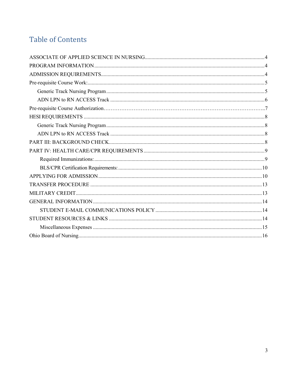# Table of Contents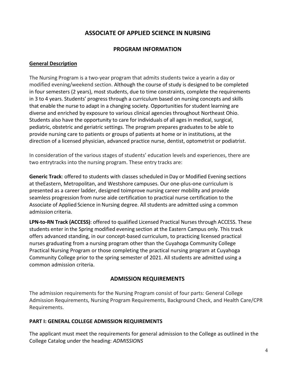# **ASSOCIATE OF APPLIED SCIENCE IN NURSING**

#### **PROGRAM INFORMATION**

#### <span id="page-3-1"></span><span id="page-3-0"></span>**General Description**

The Nursing Program is a two-year program that admits students twice a yearin a day or modified evening/weekend section. Although the course of study is designed to be completed in four semesters (2 years), most students, due to time constraints, complete the requirements in 3 to 4 years. Students' progress through a curriculum based on nursing concepts and skills that enable the nurse to adapt in a changing society. Opportunities for student learning are diverse and enriched by exposure to various clinical agencies throughout Northeast Ohio. Students also have the opportunity to care for individuals of all ages in medical, surgical, pediatric, obstetric and geriatric settings. The program prepares graduates to be able to provide nursing care to patients or groups of patients at home or in institutions, at the direction of a licensed physician, advanced practice nurse, dentist, optometrist or podiatrist.

In consideration of the various stages of students' education levels and experiences, there are two entrytracks into the nursing program. These entry tracks are:

**Generic Track**: offered to students with classes scheduled inDay or Modified Evening sections at theEastern, Metropolitan, and Westshore campuses. Our one-plus-one curriculum is presented as a career ladder, designed toimprove nursing career mobility and provide seamless progression from nurse aide certification to practical nurse certification to the Associate of Applied Science in Nursing degree. All students are admitted using a common admission criteria.

**LPN-to-RN Track (ACCESS)**: offered to qualified Licensed Practical Nurses through ACCESS. These students enter in the Spring modified evening section at the Eastern Campus only. This track offers advanced standing, in our concept-based curriculum, to practicing licensed practical nurses graduating from a nursing program other than the Cuyahoga Community College Practical Nursing Program or those completing the practical nursing program at Cuyahoga Community College prior to the spring semester of 2021. All students are admitted using a common admission criteria.

#### **ADMISSION REQUIREMENTS**

<span id="page-3-2"></span>The admission requirements for the Nursing Program consist of four parts: General College Admission Requirements, Nursing Program Requirements, Background Check, and Health Care/CPR Requirements.

#### **PART I: GENERAL COLLEGE ADMISSION REQUIREMENTS**

The applicant must meet the requirements for general admission to the College as outlined in the College Catalog under the heading: *ADMISSIONS*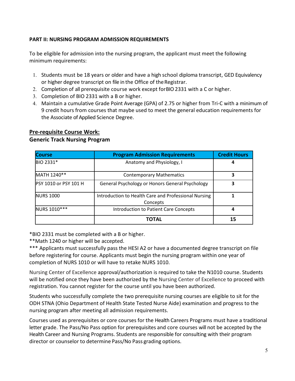#### **PART II: NURSING PROGRAM ADMISSION REQUIREMENTS**

To be eligible for admission into the nursing program, the applicant must meet the following minimum requirements:

- 1. Students must be 18 years or older and have a high school diploma transcript, GED Equivalency or higher degree transcript on file in the Office of theRegistrar.
- 2. Completion of all prerequisite course work except forBIO 2331 with a C or higher.
- 3. Completion of BIO 2331 with a B or higher.
- 4. Maintain a cumulative Grade Point Average (GPA) of 2.75 or higher from Tri-C with a minimum of 9 credit hours from courses that maybe used to meet the general education requirements for the Associate of Applied Science Degree.

#### <span id="page-4-1"></span><span id="page-4-0"></span>**Pre-requisite Course Work: Generic Track Nursing Program**

| <b>Course</b>                | <b>Program Admission Requirements</b>                            | <b>Credit Hours</b> |
|------------------------------|------------------------------------------------------------------|---------------------|
| BIO 2331*                    | Anatomy and Physiology, I                                        | 4                   |
| MATH 1240**                  | <b>Contemporary Mathematics</b>                                  | 3                   |
| <b>PSY 1010 or PSY 101 H</b> | General Psychology or Honors General Psychology                  | 3                   |
| <b>NURS 1000</b>             | Introduction to Health Care and Professional Nursing<br>Concepts |                     |
| NURS 1010 ***                | Introduction to Patient Care Concepts                            | 4                   |
|                              | ΤΟΤΑΙ                                                            | 15                  |

\*BIO 2331 must be completed with a B or higher.

\*\*Math 1240 or higher will be accepted.

\*\*\* Applicants must successfully pass the HESI A2 or have a documented degree transcript on file before registering for course. Applicants must begin the nursing program within one year of completion of NURS 1010 or will have to retake NURS 1010.

Nursing Center of Excellence approval/authorization is required to take the N1010 course. Students will be notified once they have been authorized by the Nursing Center of Excellence to proceed with registration. You cannot register for the course until you have been authorized.

Students who successfully complete the two prerequisite nursing courses are eligible to sit for the ODH STNA (Ohio Department of Health State Tested Nurse Aide) examination and progress to the nursing program after meeting all admission requirements.

Courses used as prerequisites or core courses for the Health Careers Programs must have a traditional letter grade. The Pass/No Pass option for prerequisites and core courses will not be accepted by the Health Career and Nursing Programs. Students are responsible for consulting with their program director or counselor to determine Pass/No Pass grading options.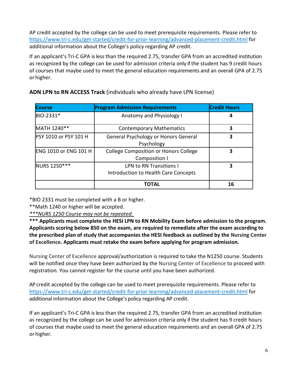AP credit accepted by the college can be used to meet prerequisite requirements. Please refer to <https://www.tri-c.edu/get-started/credit-for-prior-learning/advanced-placement-credit.html> for additional information about the College's policy regarding AP credit.

If an applicant's Tri-C GPA is less than the required 2.75, transfer GPA from an accredited institution as recognized by the college can be used for admission criteria only if the student has 9 credit hours of courses that maybe used to meet the general education requirements and an overall GPA of 2.75 or higher.

| <b>Course</b>                | <b>Program Admission Requirements</b>                                  | <b>Credit Hours</b> |
|------------------------------|------------------------------------------------------------------------|---------------------|
| BIO-2331*                    | Anatomy and Physiology I                                               | 4                   |
| MATH 1240**                  | <b>Contemporary Mathematics</b>                                        | 3                   |
| PSY 1010 or PSY 101 H        | General Psychology or Honors General<br>Psychology                     | 3                   |
| <b>ENG 1010 or ENG 101 H</b> | <b>College Composition or Honors College</b><br>Composition I          | 3                   |
| NURS 1250***                 | <b>LPN to RN Transitions I</b><br>Introduction to Health Care Concepts | 3                   |
|                              | TOTAL                                                                  | 16                  |

# **ADN LPN to RN ACCESS Track** (individuals who already have LPN license)

\*BIO 2331 must be completed with a B or higher.

\*\*Math 1240 or higher will be accepted.

*\*\*\*NURS 1250 Course may not be repeated.* 

**\*\*\* Applicants must complete the HESI LPN to RN Mobility Exam before admission to the program. Applicants scoring below 850 on the exam, are required to remediate after the exam according to the prescribed plan of study that accompanies the HESI feedback as outlined by the Nursing Center of Excellence. Applicants must retake the exam before applying for program admission.** 

Nursing Center of Excellence approval/authorization is required to take the N1250 course. Students will be notified once they have been authorized by the Nursing Center of Excellence to proceed with registration. You cannot register for the course until you have been authorized.

AP credit accepted by the college can be used to meet prerequisite requirements. Please refer to <https://www.tri-c.edu/get-started/credit-for-prior-learning/advanced-placement-credit.html> for additional information about the College's policy regarding AP credit.

If an applicant's Tri-C GPA is less than the required 2.75, transfer GPA from an accredited institution as recognized by the college can be used for admission criteria only if the student has 9 credit hours of courses that maybe used to meet the general education requirements and an overall GPA of 2.75 or higher.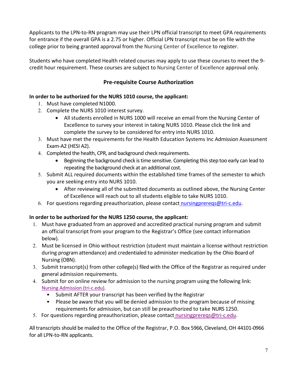Applicants to the LPN-to-RN program may use their LPN official transcript to meet GPA requirements for entrance if the overall GPA is a 2.75 or higher. Official LPN transcript must be on file with the college prior to being granted approval from the Nursing Center of Excellence to register.

Students who have completed Health related courses may apply to use these courses to meet the 9 credit hour requirement. These courses are subject to Nursing Center of Excellence approval only.

# **Pre-requisite Course Authorization**

# <span id="page-6-0"></span>**In order to be authorized for the NURS 1010 course, the applicant:**

- 1. Must have completed N1000.
- 2. Complete the NURS 1010 interest survey.
	- All students enrolled in NURS 1000 will receive an email from the Nursing Center of Excellence to survey your interest in taking NURS 1010. Please click the link and complete the survey to be considered for entry into NURS 1010.
- 3. Must have met the requirements for the Health Education Systems Inc Admission Assessment Exam-A2 (HESI A2).
- 4. Completed the health, CPR, and background check requirements.
	- Beginning the background check is time sensitive. Completing this step too early can lead to repeating the background check at an additional cost.
- 5. Submit ALL required documents within the established time frames of the semester to which you are seeking entry into NURS 1010.
	- After reviewing all of the submitted documents as outlined above, the Nursing Center of Excellence will reach out to all students eligible to take NURS 1010.
- 6. For questions regarding preauthorization, please contact [nursingprereqs@tri-c.edu.](mailto:%20nursingprereqs@tri-c.edu)

# **In order to be authorized for the NURS 1250 course, the applicant:**

- 1. Must have graduated from an approved and accredited practical nursing program and submit an official transcript from your program to the Registrar's Office (see contact information below).
- 2. Must be licensed in Ohio without restriction (student must maintain a license without restriction during program attendance) and credentialed to administer medication by the Ohio Board of Nursing (OBN).
- 3. Submit transcript(s) from other college(s) filed with the Office of the Registrar as required under general admission requirements.
- 4. Submit for on online review for admission to the nursing program using the following link: [Nursing Admission \(tri-c.edu\).](https://forms.tri-c.edu/NursingAssistanceResponsive/)
	- Submit AFTER your transcript has been verified by the Registrar
	- Please be aware that you will be denied admission to the program because of missing requirements for admission, but can still be preauthorized to take NURS 1250.
- 5. For questions regarding preauthorization, please contact [nursingprereqs@tri-c.edu.](mailto:%20nursingprereqs@tri-c.edu)

<span id="page-6-1"></span>All transcripts should be mailed to the Office of the Registrar, P.O. Box 5966, Cleveland, OH 44101-0966 for all LPN-to-RN applicants.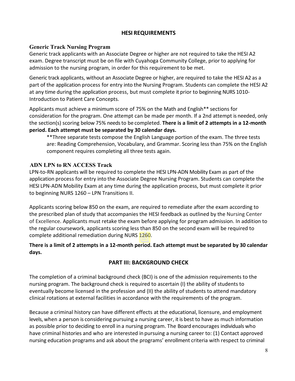#### **HESI REQUIREMENTS**

#### <span id="page-7-0"></span>**Generic Track Nursing Program**

Generic track applicants with an Associate Degree or higher are not required to take the HESI A2 exam. Degree transcript must be on file with Cuyahoga Community College, prior to applying for admission to the nursing program, in order for this requirement to be met.

Generic track applicants, without an Associate Degree or higher, are required to take the HESI A2 as a part of the application process for entry into the Nursing Program. Students can complete the HESI A2 at any time during the application process, but must complete it prior to beginning NURS 1010- Introduction to Patient Care Concepts.

Applicants must achieve a minimum score of 75% on the Math and English\*\* sections for consideration for the program. One attempt can be made per month. If a 2nd attempt is needed, only the section(s) scoring below 75% needs to be completed. **There is a limit of 2 attempts in a 12-month period. Each attempt must be separated by 30 calendar days.** 

\*\*Three separate tests compose the English Language portion of the exam. The three tests are: Reading Comprehension, Vocabulary, and Grammar. Scoring less than 75% on the English component requires completing all three tests again.

#### <span id="page-7-1"></span>**ADN LPN to RN ACCESS Track**

LPN-to-RN applicants will be required to complete the HESI LPN-ADN Mobility Exam as part of the application process for entry into the Associate Degree Nursing Program. Students can complete the HESI LPN-ADN Mobility Exam at any time during the application process, but must complete it prior to beginning NURS 1260 – LPN Transitions II.

Applicants scoring below 850 on the exam, are required to remediate after the exam according to the prescribed plan of study that accompanies the HESI feedback as outlined by the Nursing Center of Excellence. Applicants must retake the exam before applying for program admission. In addition to the regular coursework, applicants scoring less than 850 on the second exam will be required to complete additional remediation during NURS 1260.

#### **There is a limit of 2 attempts in a 12-month period. Each attempt must be separated by 30 calendar days.**

#### **PART III: BACKGROUND CHECK**

<span id="page-7-2"></span>The completion of a criminal background check (BCI) is one of the admission requirements to the nursing program. The background check is required to ascertain (I) the ability of students to eventually become licensed in the profession and (II) the ability of students to attend mandatory clinical rotations at external facilities in accordance with the requirements of the program.

Because a criminal history can have different effects at the educational, licensure, and employment levels, when a person is considering pursuing a nursing career, it is best to have as much information as possible prior to deciding to enroll in a nursing program. The Board encourages individuals who have criminal histories and who are interested in pursuing a nursing career to: (1) Contact approved nursing education programs and ask about the programs' enrollment criteria with respect to criminal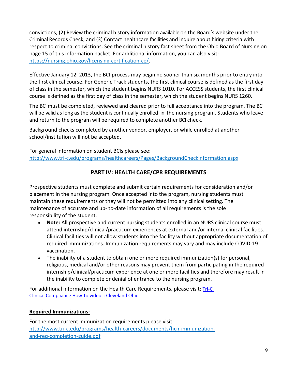convictions; (2) Review the criminal history information available on the Board's website under the Criminal Records Check, and (3) Contact healthcare facilities and inquire about hiring criteria with respect to criminal convictions. See the criminal history fact sheet from the Ohio Board of Nursing on page 15 of this information packet. For additional information, you can also visit: [https://nursing.ohio.gov/licensing-certification-ce/.](https://nursing.ohio.gov/licensing-certification-ce/)

Effective January 12, 2013, the BCI process may begin no sooner than six months prior to entry into the first clinical course. For Generic Track students, the first clinical course is defined as the first day of class in the semester, which the student begins NURS 1010. For ACCESS students, the first clinical course is defined as the first day of class in the semester, which the student begins NURS 1260.

The BCI must be completed, reviewed and cleared prior to full acceptance into the program. The BCI will be valid as long as the student is continually enrolled in the nursing program. Students who leave and return to the program will be required to complete another BCI check.

Background checks completed by another vendor, employer, or while enrolled at another school/institution will not be accepted.

For general information on student BCIs please see: <http://www.tri-c.edu/programs/healthcareers/Pages/BackgroundCheckInformation.aspx>

# **PART IV: HEALTH CARE/CPR REQUIREMENTS**

<span id="page-8-0"></span>Prospective students must complete and submit certain requirements for consideration and/or placement in the nursing program. Once accepted into the program, nursing students must maintain these requirements or they will not be permitted into any clinical setting. The maintenance of accurate and up- to-date information of all requirements is the sole responsibility of the student.

- **Note:** All prospective and current nursing students enrolled in an NURS clinical course must attend internship/clinical/practicum experiences at external and/or internal clinical facilities. Clinical facilities will not allow students into the facility without appropriate documentation of required immunizations. Immunization requirements may vary and may include COVID-19 vaccination.
- The inability of a student to obtain one or more required immunization(s) for personal, religious, medical and/or other reasons may prevent them from participating in the required internship/clinical/practicum experience at one or more facilities and therefore may result in the inability to complete or denial of entrance to the nursing program.

For additional information on the Health Care Requirements, please visit: [Tri-C](https://www.tri-c.edu/programs/health-careers/clinical-compliance-how-to-videos.html)  [Clinical Compliance How-to videos: Cleveland Ohio](https://www.tri-c.edu/programs/health-careers/clinical-compliance-how-to-videos.html)

# <span id="page-8-1"></span>**Required Immunizations:**

For the most current immunization requirements please visit: [http://www.tri-c.edu/programs/health-careers/documents/hcn-immunization](http://www.tri-c.edu/programs/health-careers/documents/hcn-immunization-and-req-completion-guide.pdf)[and-req-completion-guide.pdf](http://www.tri-c.edu/programs/health-careers/documents/hcn-immunization-and-req-completion-guide.pdf)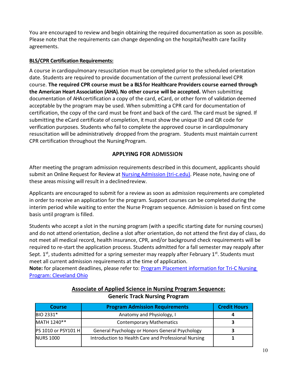You are encouraged to review and begin obtaining the required documentation as soon as possible. Please note that the requirements can change depending on the hospital/health care facility agreements.

#### <span id="page-9-0"></span>**BLS/CPR Certification Requirements:**

A course in cardiopulmonary resuscitation must be completed prior to the scheduled orientation date. Students are required to provide documentation of the current professional level CPR course. **The required CPR course must be a BLS for Healthcare Providers course earned through the American Heart Association (AHA). No other course will be accepted.** When submitting documentation of AHA certification a copy of the card, eCard, or other form of validation deemed acceptable by the program may be used. When submitting a CPR card for documentation of certification, the copy of the card must be front and back of the card. The card must be signed. If submitting the eCard certificate of completion, it must show the unique ID and QR code for verification purposes. Students who fail to complete the approved course in cardiopulmonary resuscitation will be administratively dropped from the program. Students must maintain current CPR certification throughout the NursingProgram.

#### **APPLYING FOR ADMISSION**

<span id="page-9-1"></span>After meeting the program admission requirements described in this document, applicants should submit an Online Request for Review at [Nursing Admission \(tri-c.edu\).](https://forms.tri-c.edu/NursingAssistanceResponsive/?_ga=2.253365001.1405760347.1612552638-77249545.1612552638) Please note, having one of these areas missing will result in a declined review.

Applicants are encouraged to submit for a review as soon as admission requirements are completed in order to receive an application for the program. Support courses can be completed during the interim period while waiting to enter the Nurse Program sequence. Admission is based on first come basis until program is filled.

Students who accept a slot in the nursing program (with a specific starting date for nursing courses) and do not attend orientation, decline a slot after orientation, do not attend the first day of class, do not meet all medical record, health insurance, CPR, and/or background check requirements will be required to re-start the application process. Students admitted for a fall semester may reapply after Sept.  $1<sup>st</sup>$ , students admitted for a spring semester may reapply after February  $1<sup>st</sup>$ . Students must meet all current admission requirements at the time of application.

**Note:** for placement deadlines, please refer to: [Program Placement information for Tri-C Nursing](https://www.tri-c.edu/programs/nursing/currently-placing.html)  [Program: Cleveland Ohio](https://www.tri-c.edu/programs/nursing/currently-placing.html)

| <b>Course</b>              | <b>Program Admission Requirements</b>                | <b>Credit Hours</b> |
|----------------------------|------------------------------------------------------|---------------------|
| BIO 2331*                  | Anatomy and Physiology, I                            |                     |
| MATH 1240**                | <b>Contemporary Mathematics</b>                      |                     |
| <b>PS 1010 or PSY101 H</b> | General Psychology or Honors General Psychology      |                     |
| <b>NURS 1000</b>           | Introduction to Health Care and Professional Nursing |                     |

#### **Associate of Applied Science in Nursing Program Sequence: Generic Track Nursing Program**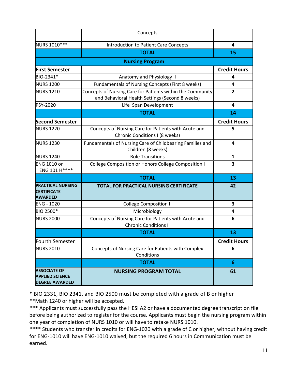|                                                                        | Concepts                                                                                                      |                     |  |
|------------------------------------------------------------------------|---------------------------------------------------------------------------------------------------------------|---------------------|--|
| NURS 1010 ***                                                          | Introduction to Patient Care Concepts                                                                         | 4                   |  |
|                                                                        | <b>TOTAL</b>                                                                                                  | 15                  |  |
|                                                                        | <b>Nursing Program</b>                                                                                        |                     |  |
| <b>First Semester</b>                                                  |                                                                                                               | <b>Credit Hours</b> |  |
| BIO-2341*                                                              | Anatomy and Physiology II                                                                                     | 4                   |  |
| <b>NURS 1200</b>                                                       | Fundamentals of Nursing Concepts (First 8 weeks)                                                              | 4                   |  |
| <b>NURS 1210</b>                                                       | Concepts of Nursing Care for Patients within the Community<br>and Behavioral Health Settings (Second 8 weeks) | $\mathbf{2}$        |  |
| PSY-2020                                                               | Life Span Development                                                                                         | 4                   |  |
|                                                                        | <b>TOTAL</b>                                                                                                  | 14                  |  |
| <b>Second Semester</b>                                                 |                                                                                                               | <b>Credit Hours</b> |  |
| <b>NURS 1220</b>                                                       | Concepts of Nursing Care for Patients with Acute and<br>Chronic Conditions I (8 weeks)                        | 5                   |  |
| <b>NURS 1230</b>                                                       | Fundamentals of Nursing Care of Childbearing Families and<br>Children (8 weeks)                               | 4                   |  |
| <b>NURS 1240</b>                                                       | <b>Role Transitions</b>                                                                                       | 1                   |  |
| <b>ENG 1010 or</b><br>ENG 101 H****                                    | College Composition or Honors College Composition I                                                           | 3                   |  |
|                                                                        | <b>TOTAL</b>                                                                                                  | 13                  |  |
| <b>PRACTICAL NURSING</b><br><b>CERTIFICATE</b><br><b>AWARDED</b>       | TOTAL FOR PRACTICAL NURSING CERTIFICATE                                                                       | 42                  |  |
| <b>ENG - 1020</b>                                                      | <b>College Composition II</b>                                                                                 | 3                   |  |
| BIO 2500*                                                              | Microbiology                                                                                                  | 4                   |  |
| <b>NURS 2000</b>                                                       | Concepts of Nursing Care for Patients with Acute and<br><b>Chronic Conditions II</b>                          | 6                   |  |
|                                                                        | <b>TOTAL</b>                                                                                                  | 13                  |  |
| Fourth Semester                                                        |                                                                                                               | <b>Credit Hours</b> |  |
| <b>NURS 2010</b>                                                       | Concepts of Nursing Care for Patients with Complex<br>Conditions                                              | 6                   |  |
|                                                                        | <b>TOTAL</b>                                                                                                  | 6                   |  |
| <b>ASSOCIATE OF</b><br><b>APPLIED SCIENCE</b><br><b>DEGREE AWARDED</b> | <b>NURSING PROGRAM TOTAL</b>                                                                                  | 61                  |  |

\* BIO 2331, BIO 2341, and BIO 2500 must be completed with a grade of B or higher \*\*Math 1240 or higher will be accepted.

\*\*\* Applicants must successfully pass the HESI A2 or have a documented degree transcript on file before being authorized to register for the course. Applicants must begin the nursing program within one year of completion of NURS 1010 or will have to retake NURS 1010.

\*\*\*\* Students who transfer in credits for ENG-1020 with a grade of C or higher, without having credit for ENG-1010 will have ENG-1010 waived, but the required 6 hours in Communication must be earned.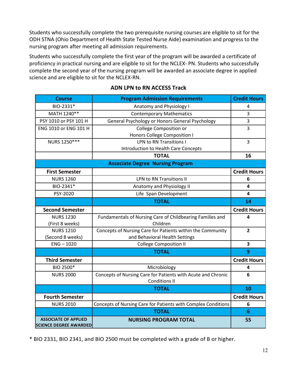Students who successfully complete the two prerequisite nursing courses are eligible to sit for the ODH STNA (Ohio Department of Health State Tested Nurse Aide) examination and progress to the nursing program after meeting all admission requirements.

Students who successfully complete the first year of the program will be awarded a certificate of proficiency in practical nursing and are eligible to sit for the NCLEX- PN. Students who successfully complete the second year of the nursing program will be awarded an associate degree in applied science and are eligible to sit for the NCLEX-RN.

| <b>Course</b>                                                | <b>Program Admission Requirements</b>                                        | <b>Credit Hours</b> |
|--------------------------------------------------------------|------------------------------------------------------------------------------|---------------------|
| BIO-2331*                                                    | Anatomy and Physiology I                                                     |                     |
| MATH 1240**                                                  | <b>Contemporary Mathematics</b>                                              |                     |
| PSY 1010 or PSY 101 H                                        | General Psychology or Honors General Psychology                              | 3                   |
| ENG 1010 or ENG 101 H                                        | College Composition or                                                       | 3                   |
|                                                              | Honors College Composition I                                                 |                     |
| NURS 1250***                                                 | <b>LPN to RN Transitions I</b>                                               | 3                   |
|                                                              | Introduction to Health Care Concepts                                         |                     |
|                                                              | <b>TOTAL</b>                                                                 | 16                  |
|                                                              | <b>Associate Degree Nursing Program</b>                                      |                     |
| <b>First Semester</b>                                        |                                                                              | <b>Credit Hours</b> |
| <b>NURS 1260</b>                                             | <b>LPN to RN Transitions II</b>                                              | 6                   |
| BIO-2341*                                                    | Anatomy and Physiology II                                                    | 4                   |
| PSY-2020                                                     | Life Span Development<br>4                                                   |                     |
|                                                              | <b>TOTAL</b><br>14                                                           |                     |
| <b>Second Semester</b>                                       |                                                                              | <b>Credit Hours</b> |
| <b>NURS 1230</b>                                             | Fundamentals of Nursing Care of Childbearing Families and                    | 4                   |
| (First 8 weeks)                                              | Children                                                                     |                     |
| <b>NURS 1210</b>                                             | Concepts of Nursing Care for Patients within the Community<br>$\overline{2}$ |                     |
| (Second 8 weeks)                                             | and Behavioral Health Settings                                               |                     |
| $ENG - 1020$                                                 | <b>College Composition II</b><br>3                                           |                     |
|                                                              | <b>TOTAL</b><br>9                                                            |                     |
| <b>Third Semester</b>                                        |                                                                              | <b>Credit Hours</b> |
| BIO 2500*                                                    | Microbiology                                                                 | 4                   |
| <b>NURS 2000</b>                                             | Concepts of Nursing Care for Patients with Acute and Chronic                 | 6                   |
|                                                              | <b>Conditions II</b>                                                         |                     |
|                                                              | <b>TOTAL</b><br>10                                                           |                     |
| <b>Fourth Semester</b>                                       |                                                                              | <b>Credit Hours</b> |
| <b>NURS 2010</b>                                             | Concepts of Nursing Care for Patients with Complex Conditions                | 6                   |
|                                                              | <b>TOTAL</b>                                                                 | 6                   |
| <b>ASSOCIATE OF APPLIED</b><br><b>SCIENCE DEGREE AWARDED</b> | <b>NURSING PROGRAM TOTAL</b>                                                 | 55                  |

# **ADN LPN to RN ACCESS Track**

\* BIO 2331, BIO 2341, and BIO 2500 must be completed with a grade of B or higher.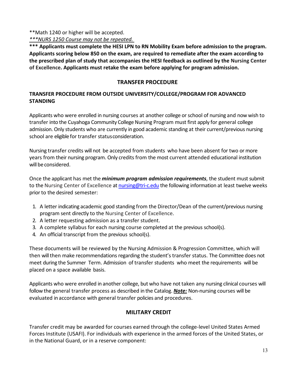#### \*\*Math 1240 or higher will be accepted.

*\*\*\*NURS 1250 Course may not be repeated.* 

**\*\*\* Applicants must complete the HESI LPN to RN Mobility Exam before admission to the program. Applicants scoring below 850 on the exam, are required to remediate after the exam according to the prescribed plan of study that accompanies the HESI feedback as outlined by the Nursing Center of Excellence. Applicants must retake the exam before applying for program admission.** 

#### **TRANSFER PROCEDURE**

# <span id="page-12-0"></span>**TRANSFER PROCEDURE FROM OUTSIDE UNIVERSITY/COLLEGE/PROGRAM FOR ADVANCED STANDING**

Applicants who were enrolled in nursing courses at another college or school of nursing and now wish to transfer into the Cuyahoga Community College Nursing Program must first apply for general college admission. Only students who are currently in good academic standing at their current/previous nursing school are eligible for transfer statusconsideration.

Nursing transfer credits will not be accepted from students who have been absent for two or more years from their nursing program. Only credits from the most current attended educational institution will be considered.

Once the applicant has met the *minimum program admission requirements*, the student must submit to the Nursing Center of Excellence at [nursing@tri-c.edu](mailto:nursing@tri-c.edu) the following information at least twelve weeks prior to the desired semester:

- 1. A letter indicating academic good standing from the Director/Dean of the current/previous nursing program sent directly to the Nursing Center of Excellence.
- 2. A letter requesting admission as a transfer student.
- 3. A complete syllabus for each nursing course completed at the previous school(s).
- 4. An official transcript from the previous school(s).

These documents will be reviewed by the Nursing Admission & Progression Committee, which will then will then make recommendations regarding the student's transfer status. The Committee does not meet during the Summer Term. Admission of transfer students who meet the requirements will be placed on a space available basis.

Applicants who were enrolled in another college, but who have not taken any nursing clinical courses will follow the general transfer process as described in the Catalog. *Note:* Non-nursing courses will be evaluated in accordance with general transfer policies and procedures.

# **MILITARY CREDIT**

<span id="page-12-1"></span>Transfer credit may be awarded for courses earned through the college-level United States Armed Forces Institute (USAFI). For individuals with experience in the armed forces of the United States, or in the National Guard, or in a reserve component: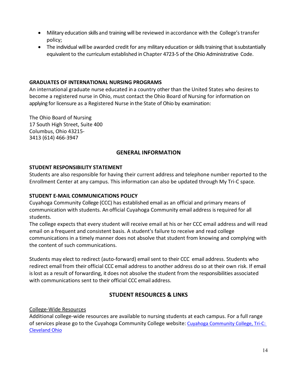- Military education skills and training will be reviewed in accordance with the College's transfer policy;
- The individual will be awarded credit for any military education or skills training that issubstantially equivalent to the curriculum established in Chapter 4723-5 of the Ohio Administrative Code.

#### **GRADUATES OF INTERNATIONAL NURSING PROGRAMS**

An international graduate nurse educated in a country other than the United States who desires to become a registered nurse in Ohio, must contact the Ohio Board of Nursing for information on applying for licensure as a Registered Nurse in the State of Ohio by examination:

The Ohio Board of Nursing 17 South High Street, Suite 400 Columbus, Ohio 43215- 3413 (614) 466-3947

#### **GENERAL INFORMATION**

#### <span id="page-13-0"></span>**STUDENT RESPONSIBILITY STATEMENT**

Students are also responsible for having their current address and telephone number reported to the Enrollment Center at any campus. This information can also be updated through My Tri-C space.

#### <span id="page-13-1"></span>**STUDENT E-MAIL COMMUNICATIONS POLICY**

Cuyahoga Community College (CCC) has established email as an official and primary means of communication with students. An official Cuyahoga Community email address is required for all students.

The college expects that every student will receive email at his or her CCC email address and will read email on a frequent and consistent basis. A student's failure to receive and read college communications in a timely manner does not absolve that student from knowing and complying with the content of such communications.

Students may elect to redirect (auto-forward) email sent to their CCC email address. Students who redirect email from their official CCC email address to another address do so at their own risk. If email is lost as a result of forwarding, it does not absolve the student from the responsibilities associated with communications sent to their official CCC email address.

# **STUDENT RESOURCES & LINKS**

<span id="page-13-2"></span>College-Wide Resources

Additional college-wide resources are available to nursing students at each campus. For a full range of services please go to the Cuyahoga Community College website: [Cuyahoga Community College, Tri-C:](https://www.tri-c.edu/index.html)  [Cleveland Ohio](https://www.tri-c.edu/index.html)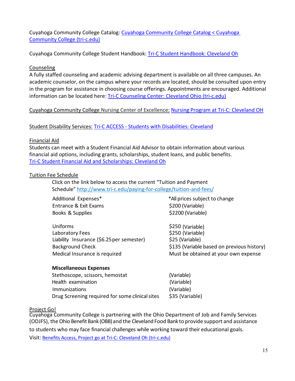Cuyahoga Community College Catalog: [Cuyahoga Community College Catalog < Cuyahoga](http://catalog.tri-c.edu/?_ga=2.203151633.1079134845.1626189645-1067983723.1620762965)  [Community College \(tri-c.edu\)](http://catalog.tri-c.edu/?_ga=2.203151633.1079134845.1626189645-1067983723.1620762965)

Cuyahoga Community College Student Handbook: [Tri-C Student Handbook: Cleveland Oh](https://www.tri-c.edu/student-resources/student-handbook.html)

#### Counseling

A fully staffed counseling and academic advising department is available on all three campuses. An academic counselor, on the campus where your records are located, should be consulted upon entry in the program for assistance in choosing course offerings. Appointments are encouraged. Additional information can be located here: [Tri-C Counseling Center: Cleveland Ohio \(tri-c.edu\)](https://www.tri-c.edu/counseling-center/index.html)

#### Cuyahoga Community College Nursing Center of Excellence: [Nursing Program at Tri-C: Cleveland OH](https://www.tri-c.edu/programs/nursing/)

#### Student Disability Services: Tri-C ACCESS - [Students with Disabilities: Cleveland](https://www.tri-c.edu/student-accessibility-services/index.html)

#### Financial Aid

Students can meet with a Student Financial Aid Advisor to obtain information about various financial aid options, including grants, scholarships, student loans, and public benefits. [Tri-C Student Financial Aid and Scholarships: Cleveland Oh](https://www.tri-c.edu/paying-for-college/financial-aid-and-scholarships/)

#### Tuition Fee Schedule

Click on the link below to access the current "Tuition and Payment Schedule"<http://www.tri-c.edu/paying-for-college/tuition-and-fees/>

| Additional Expenses*        | *All prices subject to change        |
|-----------------------------|--------------------------------------|
| Entrance & Exit Exams       | \$200 (Variable)                     |
| Books & Supplies            | \$2200 (Variable)                    |
| Uniforms<br>Laboratory Fees | \$250 (Variable)<br>\$250 (Variable) |

Liability Insurance (\$6.25 per semester) \$25 (Variable) Background Check **\$135 (Variable based on previous history**) Medical Insurance is required Must be obtained at your own expense

#### <span id="page-14-0"></span>**Miscellaneous Expenses**

Stethoscope, scissors, hemostat (Variable) Health examination (Variable) Immunizations (Variable) Drug Screening required for some clinical sites \$35 (Variable)

#### Project Go!

Cuyahoga Community College is partnering with the Ohio Department of Job and Family Services (ODJFS), the Ohio Benefit Bank (OBB) and the Cleveland Food Bank to provide support and assistance to students who may face financial challenges while working toward their educational goals.

Visit: [Benefits Access, Project go at Tri-C: Cleveland Oh \(tri-c.edu\)](https://www.tri-c.edu/paying-for-college/financial-aid-and-scholarships/benefits-accessproject-go/index.html)